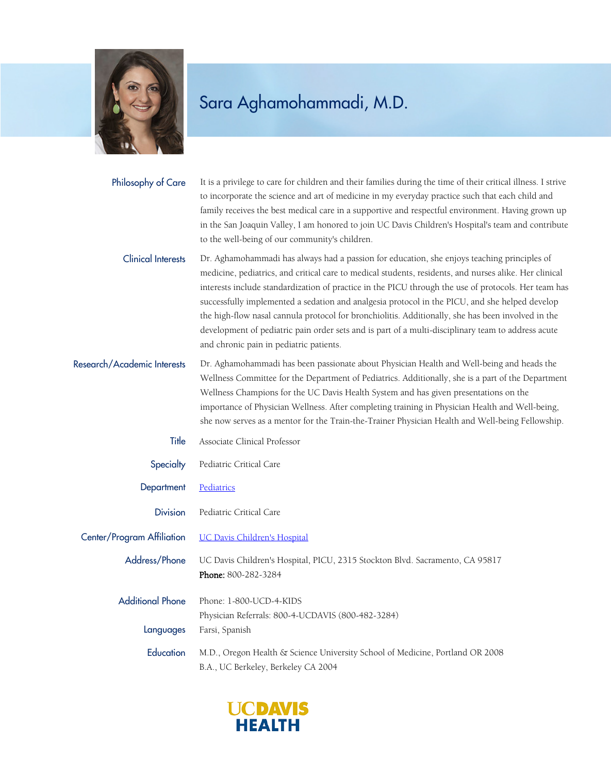

## Sara Aghamohammadi, M.D.

| Philosophy of Care | It is a privilege to care for children and their families during the time of their critical illness. I strive |
|--------------------|---------------------------------------------------------------------------------------------------------------|
|                    | to incorporate the science and art of medicine in my everyday practice such that each child and               |
|                    | family receives the best medical care in a supportive and respectful environment. Having grown up             |
|                    | in the San Joaquin Valley, I am honored to join UC Davis Children's Hospital's team and contribute            |
|                    | to the well-being of our community's children.                                                                |

Dr. Aghamohammadi has always had a passion for education, she enjoys teaching principles of medicine, pediatrics, and critical care to medical students, residents, and nurses alike. Her clinical interests include standardization of practice in the PICU through the use of protocols. Her team has successfully implemented a sedation and analgesia protocol in the PICU, and she helped develop the high-flow nasal cannula protocol for bronchiolitis. Additionally, she has been involved in the development of pediatric pain order sets and is part of a multi-disciplinary team to address acute and chronic pain in pediatric patients. Clinical Interests

Dr. Aghamohammadi has been passionate about Physician Health and Well-being and heads the Wellness Committee for the Department of Pediatrics. Additionally, she is a part of the Department Wellness Champions for the UC Davis Health System and has given presentations on the importance of Physician Wellness. After completing training in Physician Health and Well-being, she now serves as a mentor for the Train-the-Trainer Physician Health and Well-being Fellowship. Research/Academic Interests

- Title Associate Clinical Professor
- Specialty Pediatric Critical Care
- Department [Pediatrics](https://www.ucdmc.ucdavis.edu/pediatrics/)
- Division Pediatric Critical Care

Center/Program Affiliation [UC Davis Children's Hospital](https://www.ucdmc.ucdavis.edu/children/)

Address/Phone UC Davis Children's Hospital, PICU, 2315 Stockton Blvd. Sacramento, CA 95817 Phone: 800-282-3284

Additional Phone Phone: 1-800-UCD-4-KIDS Physician Referrals: 800-4-UCDAVIS (800-482-3284) Languages Farsi, Spanish

Education M.D., Oregon Health & Science University School of Medicine, Portland OR 2008 B.A., UC Berkeley, Berkeley CA 2004